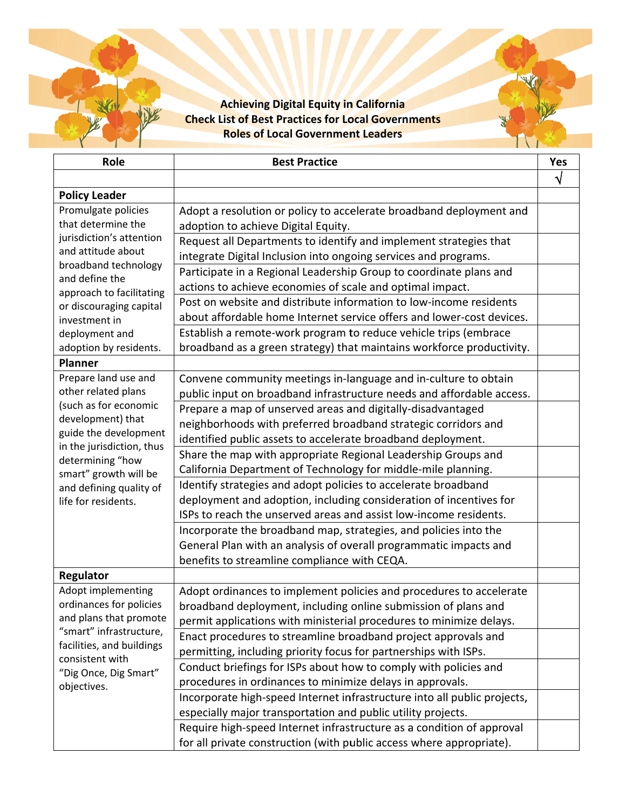## **Achieving Digital Equity in California Check List of Best Practices for Local Governments Roles of Local Government Leaders**

| Role                                                                                                                                                                                                                            | <b>Best Practice</b>                                                     | Yes |
|---------------------------------------------------------------------------------------------------------------------------------------------------------------------------------------------------------------------------------|--------------------------------------------------------------------------|-----|
|                                                                                                                                                                                                                                 |                                                                          | V   |
| <b>Policy Leader</b>                                                                                                                                                                                                            |                                                                          |     |
| Promulgate policies<br>that determine the<br>jurisdiction's attention<br>and attitude about<br>broadband technology<br>and define the<br>approach to facilitating<br>or discouraging capital<br>investment in<br>deployment and | Adopt a resolution or policy to accelerate broadband deployment and      |     |
|                                                                                                                                                                                                                                 | adoption to achieve Digital Equity.                                      |     |
|                                                                                                                                                                                                                                 | Request all Departments to identify and implement strategies that        |     |
|                                                                                                                                                                                                                                 | integrate Digital Inclusion into ongoing services and programs.          |     |
|                                                                                                                                                                                                                                 | Participate in a Regional Leadership Group to coordinate plans and       |     |
|                                                                                                                                                                                                                                 | actions to achieve economies of scale and optimal impact.                |     |
|                                                                                                                                                                                                                                 | Post on website and distribute information to low-income residents       |     |
|                                                                                                                                                                                                                                 | about affordable home Internet service offers and lower-cost devices.    |     |
|                                                                                                                                                                                                                                 | Establish a remote-work program to reduce vehicle trips (embrace         |     |
| adoption by residents.                                                                                                                                                                                                          | broadband as a green strategy) that maintains workforce productivity.    |     |
| <b>Planner</b>                                                                                                                                                                                                                  |                                                                          |     |
| Prepare land use and                                                                                                                                                                                                            | Convene community meetings in-language and in-culture to obtain          |     |
| other related plans<br>(such as for economic<br>development) that                                                                                                                                                               | public input on broadband infrastructure needs and affordable access.    |     |
|                                                                                                                                                                                                                                 | Prepare a map of unserved areas and digitally-disadvantaged              |     |
|                                                                                                                                                                                                                                 | neighborhoods with preferred broadband strategic corridors and           |     |
| guide the development<br>in the jurisdiction, thus                                                                                                                                                                              | identified public assets to accelerate broadband deployment.             |     |
| determining "how                                                                                                                                                                                                                | Share the map with appropriate Regional Leadership Groups and            |     |
| smart" growth will be                                                                                                                                                                                                           | California Department of Technology for middle-mile planning.            |     |
| and defining quality of                                                                                                                                                                                                         | Identify strategies and adopt policies to accelerate broadband           |     |
| life for residents.                                                                                                                                                                                                             | deployment and adoption, including consideration of incentives for       |     |
|                                                                                                                                                                                                                                 | ISPs to reach the unserved areas and assist low-income residents.        |     |
|                                                                                                                                                                                                                                 | Incorporate the broadband map, strategies, and policies into the         |     |
|                                                                                                                                                                                                                                 | General Plan with an analysis of overall programmatic impacts and        |     |
|                                                                                                                                                                                                                                 | benefits to streamline compliance with CEQA.                             |     |
| Regulator                                                                                                                                                                                                                       |                                                                          |     |
| Adopt implementing                                                                                                                                                                                                              | Adopt ordinances to implement policies and procedures to accelerate      |     |
| ordinances for policies                                                                                                                                                                                                         | broadband deployment, including online submission of plans and           |     |
| and plans that promote<br>"smart" infrastructure,<br>facilities, and buildings<br>consistent with<br>"Dig Once, Dig Smart"<br>objectives.                                                                                       | permit applications with ministerial procedures to minimize delays.      |     |
|                                                                                                                                                                                                                                 | Enact procedures to streamline broadband project approvals and           |     |
|                                                                                                                                                                                                                                 | permitting, including priority focus for partnerships with ISPs.         |     |
|                                                                                                                                                                                                                                 | Conduct briefings for ISPs about how to comply with policies and         |     |
|                                                                                                                                                                                                                                 | procedures in ordinances to minimize delays in approvals.                |     |
|                                                                                                                                                                                                                                 | Incorporate high-speed Internet infrastructure into all public projects, |     |
|                                                                                                                                                                                                                                 | especially major transportation and public utility projects.             |     |
|                                                                                                                                                                                                                                 | Require high-speed Internet infrastructure as a condition of approval    |     |
|                                                                                                                                                                                                                                 | for all private construction (with public access where appropriate).     |     |